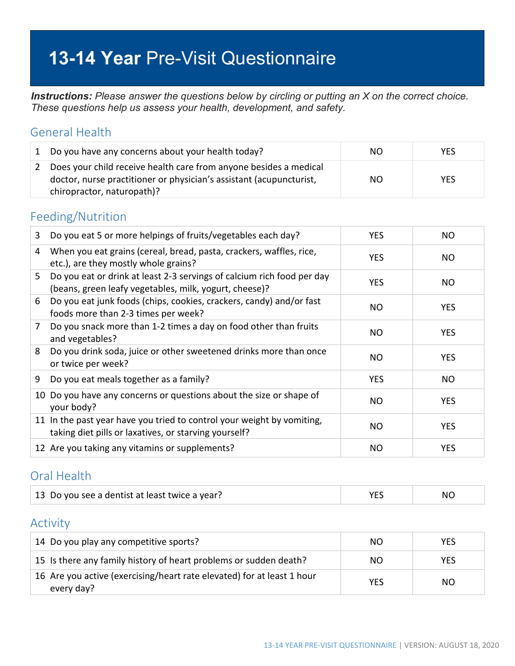# **13-14 Year** Pre-Visit Questionnaire

*Instructions: Please answer the questions below by circling or putting an X on the correct choice. These questions help us assess your health, development, and safety.*

### General Health

|               | Do you have any concerns about your health today?                                                                                                                      | NO. | YES.       |
|---------------|------------------------------------------------------------------------------------------------------------------------------------------------------------------------|-----|------------|
| $\mathcal{L}$ | Does your child receive health care from anyone besides a medical<br>doctor, nurse practitioner or physician's assistant (acupuncturist,<br>chiropractor, naturopath)? | NO. | <b>YES</b> |

### Feeding/Nutrition

| 3  | Do you eat 5 or more helpings of fruits/vegetables each day?                                                                     | <b>YES</b> | NO         |
|----|----------------------------------------------------------------------------------------------------------------------------------|------------|------------|
| 4  | When you eat grains (cereal, bread, pasta, crackers, waffles, rice,<br>etc.), are they mostly whole grains?                      | <b>YES</b> | NO.        |
| 5. | Do you eat or drink at least 2-3 servings of calcium rich food per day<br>(beans, green leafy vegetables, milk, yogurt, cheese)? | <b>YES</b> | NO.        |
| 6  | Do you eat junk foods (chips, cookies, crackers, candy) and/or fast<br>foods more than 2-3 times per week?                       | NO.        | <b>YES</b> |
| 7  | Do you snack more than 1-2 times a day on food other than fruits<br>and vegetables?                                              | NO.        | <b>YES</b> |
| 8  | Do you drink soda, juice or other sweetened drinks more than once<br>or twice per week?                                          | NO.        | <b>YES</b> |
| 9  | Do you eat meals together as a family?                                                                                           | <b>YES</b> | NO.        |
|    | 10 Do you have any concerns or questions about the size or shape of<br>your body?                                                | NO         | <b>YES</b> |
|    | 11 In the past year have you tried to control your weight by vomiting,<br>taking diet pills or laxatives, or starving yourself?  | NO         | <b>YES</b> |
|    | 12 Are you taking any vitamins or supplements?                                                                                   | NO         | <b>YES</b> |

### Oral Health

| 13 Do you see a dentist at least twice a year? |  | NC |
|------------------------------------------------|--|----|
|------------------------------------------------|--|----|

#### Activity

| 14 Do you play any competitive sports?                                               | NO. | YES        |
|--------------------------------------------------------------------------------------|-----|------------|
| 15 Is there any family history of heart problems or sudden death?                    | NO. | <b>YES</b> |
| 16 Are you active (exercising/heart rate elevated) for at least 1 hour<br>every day? | YES | NO.        |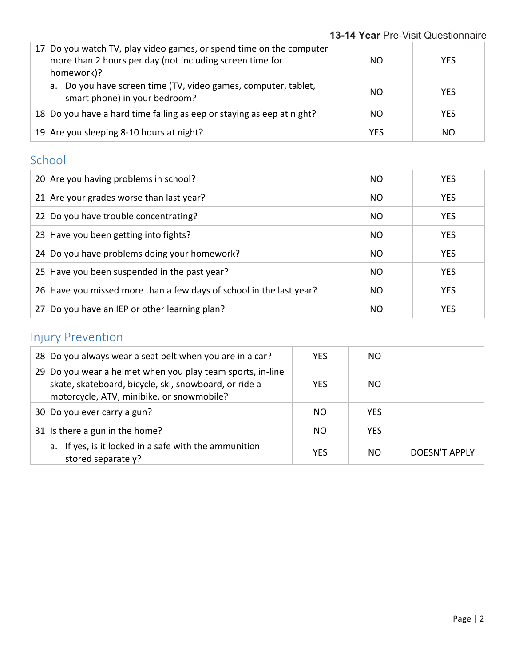| 17 Do you watch TV, play video games, or spend time on the computer<br>more than 2 hours per day (not including screen time for<br>homework)? | NO. | <b>YES</b> |
|-----------------------------------------------------------------------------------------------------------------------------------------------|-----|------------|
| a. Do you have screen time (TV, video games, computer, tablet,<br>smart phone) in your bedroom?                                               | NO. | <b>YES</b> |
| 18 Do you have a hard time falling asleep or staying asleep at night?                                                                         | NO. | <b>YES</b> |
| 19 Are you sleeping 8-10 hours at night?                                                                                                      | YES | NO.        |

### School

| 20 Are you having problems in school?                               | NO  | <b>YES</b> |
|---------------------------------------------------------------------|-----|------------|
| 21 Are your grades worse than last year?                            | NO. | <b>YES</b> |
| 22 Do you have trouble concentrating?                               | NO  | <b>YES</b> |
| 23 Have you been getting into fights?                               | NO  | <b>YES</b> |
| 24 Do you have problems doing your homework?                        | NO. | <b>YES</b> |
| 25 Have you been suspended in the past year?                        | NO. | <b>YES</b> |
| 26 Have you missed more than a few days of school in the last year? | NO. | <b>YES</b> |
| 27 Do you have an IEP or other learning plan?                       | NO. | <b>YES</b> |

# Injury Prevention

| 28 Do you always wear a seat belt when you are in a car?                                                                                                         | <b>YES</b> | NO.           |               |
|------------------------------------------------------------------------------------------------------------------------------------------------------------------|------------|---------------|---------------|
| 29 Do you wear a helmet when you play team sports, in-line<br>skate, skateboard, bicycle, ski, snowboard, or ride a<br>motorcycle, ATV, minibike, or snowmobile? | <b>YES</b> | <sub>NO</sub> |               |
| 30 Do you ever carry a gun?                                                                                                                                      | NO.        | <b>YES</b>    |               |
| 31 Is there a gun in the home?                                                                                                                                   | NO.        | <b>YES</b>    |               |
| a. If yes, is it locked in a safe with the ammunition<br>stored separately?                                                                                      | <b>YES</b> | NO.           | DOESN'T APPLY |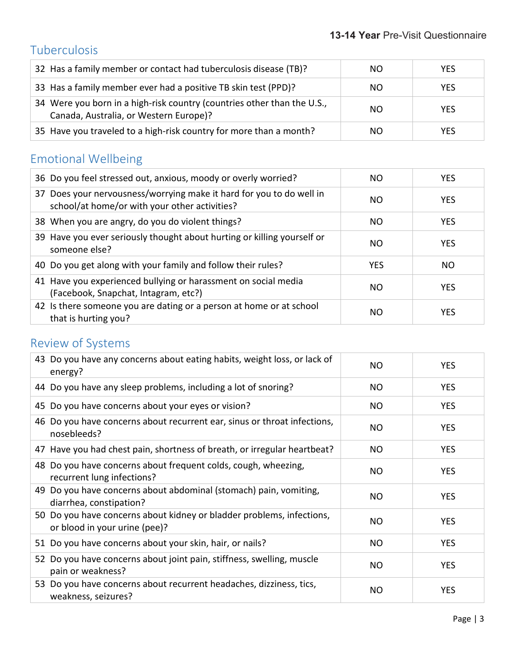## Tuberculosis

| 32 Has a family member or contact had tuberculosis disease (TB)?                                                  | NO. | <b>YES</b> |
|-------------------------------------------------------------------------------------------------------------------|-----|------------|
| 33 Has a family member ever had a positive TB skin test (PPD)?                                                    | NO. | <b>YES</b> |
| 34 Were you born in a high-risk country (countries other than the U.S.,<br>Canada, Australia, or Western Europe)? | NO. | <b>YES</b> |
| 35 Have you traveled to a high-risk country for more than a month?                                                | NO. | <b>YES</b> |

# Emotional Wellbeing

| 36 Do you feel stressed out, anxious, moody or overly worried?                                                        | NO.        | <b>YES</b> |
|-----------------------------------------------------------------------------------------------------------------------|------------|------------|
| 37 Does your nervousness/worrying make it hard for you to do well in<br>school/at home/or with your other activities? | NO.        | <b>YES</b> |
| 38 When you are angry, do you do violent things?                                                                      | NO.        | <b>YES</b> |
| 39 Have you ever seriously thought about hurting or killing yourself or<br>someone else?                              | NO.        | <b>YES</b> |
| 40 Do you get along with your family and follow their rules?                                                          | <b>YES</b> | NO.        |
| 41 Have you experienced bullying or harassment on social media<br>(Facebook, Snapchat, Intagram, etc?)                | NO.        | <b>YES</b> |
| 42 Is there someone you are dating or a person at home or at school<br>that is hurting you?                           | NO.        | <b>YES</b> |

## Review of Systems

| 43 Do you have any concerns about eating habits, weight loss, or lack of<br>energy?                    | NO.       | <b>YES</b> |
|--------------------------------------------------------------------------------------------------------|-----------|------------|
| 44 Do you have any sleep problems, including a lot of snoring?                                         | <b>NO</b> | <b>YES</b> |
| 45 Do you have concerns about your eyes or vision?                                                     | <b>NO</b> | <b>YES</b> |
| 46 Do you have concerns about recurrent ear, sinus or throat infections,<br>nosebleeds?                | NO        | <b>YES</b> |
| 47 Have you had chest pain, shortness of breath, or irregular heartbeat?                               | <b>NO</b> | <b>YES</b> |
| 48 Do you have concerns about frequent colds, cough, wheezing,<br>recurrent lung infections?           | <b>NO</b> | <b>YES</b> |
| 49 Do you have concerns about abdominal (stomach) pain, vomiting,<br>diarrhea, constipation?           | <b>NO</b> | <b>YES</b> |
| 50 Do you have concerns about kidney or bladder problems, infections,<br>or blood in your urine (pee)? | NO.       | <b>YES</b> |
| 51 Do you have concerns about your skin, hair, or nails?                                               | <b>NO</b> | <b>YES</b> |
| 52 Do you have concerns about joint pain, stiffness, swelling, muscle<br>pain or weakness?             | <b>NO</b> | <b>YES</b> |
| 53 Do you have concerns about recurrent headaches, dizziness, tics,<br>weakness, seizures?             | <b>NO</b> | <b>YES</b> |